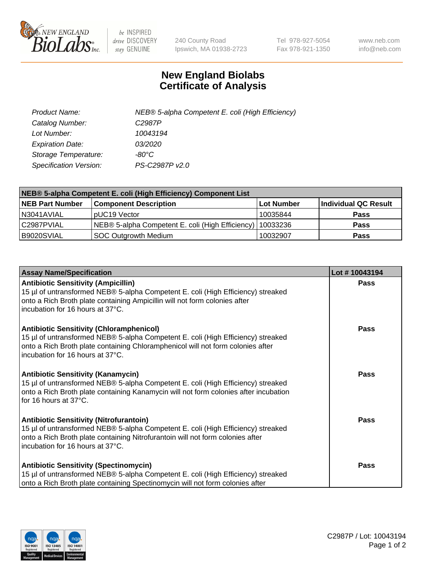

 $be$  INSPIRED drive DISCOVERY stay GENUINE

240 County Road Ipswich, MA 01938-2723 Tel 978-927-5054 Fax 978-921-1350 www.neb.com info@neb.com

## **New England Biolabs Certificate of Analysis**

| Product Name:                 | NEB® 5-alpha Competent E. coli (High Efficiency) |
|-------------------------------|--------------------------------------------------|
| Catalog Number:               | C <sub>2987</sub> P                              |
| Lot Number:                   | 10043194                                         |
| <b>Expiration Date:</b>       | <i>03/2020</i>                                   |
| Storage Temperature:          | -80°C                                            |
| <b>Specification Version:</b> | PS-C2987P v2.0                                   |

| NEB® 5-alpha Competent E. coli (High Efficiency) Component List |                                                  |            |                      |  |
|-----------------------------------------------------------------|--------------------------------------------------|------------|----------------------|--|
| <b>NEB Part Number</b>                                          | <b>Component Description</b>                     | Lot Number | Individual QC Result |  |
| N3041AVIAL                                                      | pUC19 Vector                                     | 10035844   | <b>Pass</b>          |  |
| C2987PVIAL                                                      | NEB® 5-alpha Competent E. coli (High Efficiency) | 10033236   | <b>Pass</b>          |  |
| B9020SVIAL                                                      | SOC Outgrowth Medium                             | 10032907   | <b>Pass</b>          |  |

| <b>Assay Name/Specification</b>                                                                                                                                                                                                                            | Lot #10043194 |
|------------------------------------------------------------------------------------------------------------------------------------------------------------------------------------------------------------------------------------------------------------|---------------|
| <b>Antibiotic Sensitivity (Ampicillin)</b><br>15 µl of untransformed NEB® 5-alpha Competent E. coli (High Efficiency) streaked<br>onto a Rich Broth plate containing Ampicillin will not form colonies after<br>incubation for 16 hours at 37°C.           | <b>Pass</b>   |
| <b>Antibiotic Sensitivity (Chloramphenicol)</b><br>15 µl of untransformed NEB® 5-alpha Competent E. coli (High Efficiency) streaked<br>onto a Rich Broth plate containing Chloramphenicol will not form colonies after<br>incubation for 16 hours at 37°C. | Pass          |
| <b>Antibiotic Sensitivity (Kanamycin)</b><br>15 µl of untransformed NEB® 5-alpha Competent E. coli (High Efficiency) streaked<br>onto a Rich Broth plate containing Kanamycin will not form colonies after incubation<br>for 16 hours at 37°C.             | Pass          |
| <b>Antibiotic Sensitivity (Nitrofurantoin)</b><br>15 µl of untransformed NEB® 5-alpha Competent E. coli (High Efficiency) streaked<br>onto a Rich Broth plate containing Nitrofurantoin will not form colonies after<br>incubation for 16 hours at 37°C.   | <b>Pass</b>   |
| Antibiotic Sensitivity (Spectinomycin)<br>15 µl of untransformed NEB® 5-alpha Competent E. coli (High Efficiency) streaked<br>onto a Rich Broth plate containing Spectinomycin will not form colonies after                                                | <b>Pass</b>   |